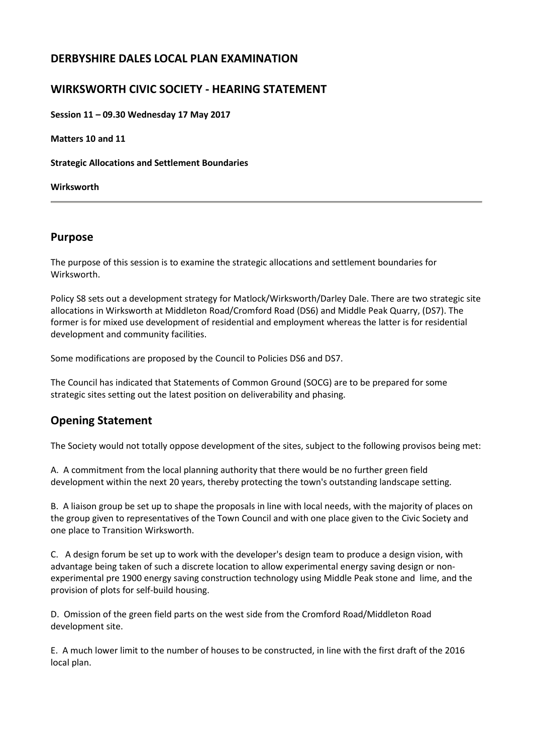# **DERBYSHIRE DALES LOCAL PLAN EXAMINATION**

## **WIRKSWORTH CIVIC SOCIETY - HEARING STATEMENT**

**Session 11 – 09.30 Wednesday 17 May 2017**

**Matters 10 and 11**

**Strategic Allocations and Settlement Boundaries**

**Wirksworth**

### **Purpose**

The purpose of this session is to examine the strategic allocations and settlement boundaries for Wirksworth.

Policy S8 sets out a development strategy for Matlock/Wirksworth/Darley Dale. There are two strategic site allocations in Wirksworth at Middleton Road/Cromford Road (DS6) and Middle Peak Quarry, (DS7). The former is for mixed use development of residential and employment whereas the latter is for residential development and community facilities.

Some modifications are proposed by the Council to Policies DS6 and DS7.

The Council has indicated that Statements of Common Ground (SOCG) are to be prepared for some strategic sites setting out the latest position on deliverability and phasing.

## **Opening Statement**

The Society would not totally oppose development of the sites, subject to the following provisos being met:

A. A commitment from the local planning authority that there would be no further green field development within the next 20 years, thereby protecting the town's outstanding landscape setting.

B. A liaison group be set up to shape the proposals in line with local needs, with the majority of places on the group given to representatives of the Town Council and with one place given to the Civic Society and one place to Transition Wirksworth.

C. A design forum be set up to work with the developer's design team to produce a design vision, with advantage being taken of such a discrete location to allow experimental energy saving design or nonexperimental pre 1900 energy saving construction technology using Middle Peak stone and lime, and the provision of plots for self-build housing.

D. Omission of the green field parts on the west side from the Cromford Road/Middleton Road development site.

E. A much lower limit to the number of houses to be constructed, in line with the first draft of the 2016 local plan.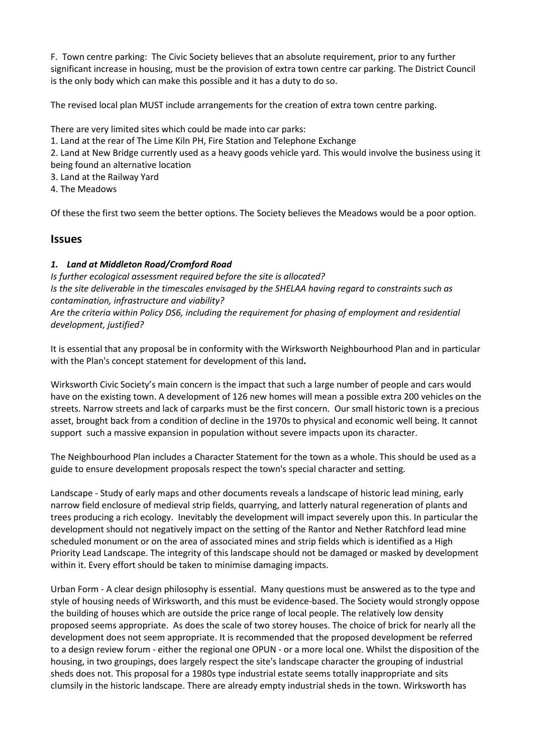F. Town centre parking: The Civic Society believes that an absolute requirement, prior to any further significant increase in housing, must be the provision of extra town centre car parking. The District Council is the only body which can make this possible and it has a duty to do so.

The revised local plan MUST include arrangements for the creation of extra town centre parking.

There are very limited sites which could be made into car parks:

1. Land at the rear of The Lime Kiln PH, Fire Station and Telephone Exchange

2. Land at New Bridge currently used as a heavy goods vehicle yard. This would involve the business using it being found an alternative location

- 3. Land at the Railway Yard
- 4. The Meadows

Of these the first two seem the better options. The Society believes the Meadows would be a poor option.

### **Issues**

#### *1. Land at Middleton Road/Cromford Road*

*Is further ecological assessment required before the site is allocated? Is the site deliverable in the timescales envisaged by the SHELAA having regard to constraints such as contamination, infrastructure and viability? Are the criteria within Policy DS6, including the requirement for phasing of employment and residential development, justified?*

It is essential that any proposal be in conformity with the Wirksworth Neighbourhood Plan and in particular with the Plan's concept statement for development of this land**.**

Wirksworth Civic Society's main concern is the impact that such a large number of people and cars would have on the existing town. A development of 126 new homes will mean a possible extra 200 vehicles on the streets. Narrow streets and lack of carparks must be the first concern. Our small historic town is a precious asset, brought back from a condition of decline in the 1970s to physical and economic well being. It cannot support such a massive expansion in population without severe impacts upon its character.

The Neighbourhood Plan includes a Character Statement for the town as a whole. This should be used as a guide to ensure development proposals respect the town's special character and setting.

Landscape - Study of early maps and other documents reveals a landscape of historic lead mining, early narrow field enclosure of medieval strip fields, quarrying, and latterly natural regeneration of plants and trees producing a rich ecology. Inevitably the development will impact severely upon this. In particular the development should not negatively impact on the setting of the Rantor and Nether Ratchford lead mine scheduled monument or on the area of associated mines and strip fields which is identified as a High Priority Lead Landscape. The integrity of this landscape should not be damaged or masked by development within it. Every effort should be taken to minimise damaging impacts.

Urban Form - A clear design philosophy is essential. Many questions must be answered as to the type and style of housing needs of Wirksworth, and this must be evidence-based. The Society would strongly oppose the building of houses which are outside the price range of local people. The relatively low density proposed seems appropriate. As does the scale of two storey houses. The choice of brick for nearly all the development does not seem appropriate. It is recommended that the proposed development be referred to a design review forum - either the regional one OPUN - or a more local one. Whilst the disposition of the housing, in two groupings, does largely respect the site's landscape character the grouping of industrial sheds does not. This proposal for a 1980s type industrial estate seems totally inappropriate and sits clumsily in the historic landscape. There are already empty industrial sheds in the town. Wirksworth has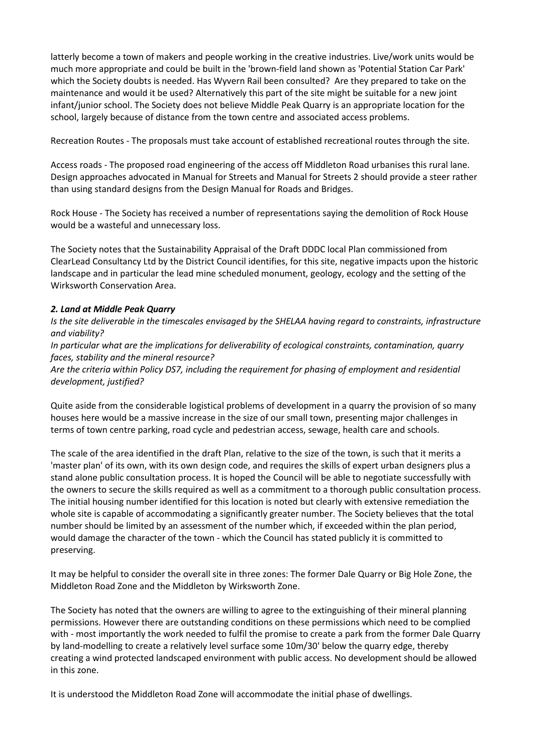latterly become a town of makers and people working in the creative industries. Live/work units would be much more appropriate and could be built in the 'brown-field land shown as 'Potential Station Car Park' which the Society doubts is needed. Has Wyvern Rail been consulted? Are they prepared to take on the maintenance and would it be used? Alternatively this part of the site might be suitable for a new joint infant/junior school. The Society does not believe Middle Peak Quarry is an appropriate location for the school, largely because of distance from the town centre and associated access problems.

Recreation Routes - The proposals must take account of established recreational routes through the site.

Access roads - The proposed road engineering of the access off Middleton Road urbanises this rural lane. Design approaches advocated in Manual for Streets and Manual for Streets 2 should provide a steer rather than using standard designs from the Design Manual for Roads and Bridges.

Rock House - The Society has received a number of representations saying the demolition of Rock House would be a wasteful and unnecessary loss.

The Society notes that the Sustainability Appraisal of the Draft DDDC local Plan commissioned from ClearLead Consultancy Ltd by the District Council identifies, for this site, negative impacts upon the historic landscape and in particular the lead mine scheduled monument, geology, ecology and the setting of the Wirksworth Conservation Area.

#### *2. Land at Middle Peak Quarry*

*Is the site deliverable in the timescales envisaged by the SHELAA having regard to constraints, infrastructure and viability?*

*In particular what are the implications for deliverability of ecological constraints, contamination, quarry faces, stability and the mineral resource?*

*Are the criteria within Policy DS7, including the requirement for phasing of employment and residential development, justified?*

Quite aside from the considerable logistical problems of development in a quarry the provision of so many houses here would be a massive increase in the size of our small town, presenting major challenges in terms of town centre parking, road cycle and pedestrian access, sewage, health care and schools.

The scale of the area identified in the draft Plan, relative to the size of the town, is such that it merits a 'master plan' of its own, with its own design code, and requires the skills of expert urban designers plus a stand alone public consultation process. It is hoped the Council will be able to negotiate successfully with the owners to secure the skills required as well as a commitment to a thorough public consultation process. The initial housing number identified for this location is noted but clearly with extensive remediation the whole site is capable of accommodating a significantly greater number. The Society believes that the total number should be limited by an assessment of the number which, if exceeded within the plan period, would damage the character of the town - which the Council has stated publicly it is committed to preserving.

It may be helpful to consider the overall site in three zones: The former Dale Quarry or Big Hole Zone, the Middleton Road Zone and the Middleton by Wirksworth Zone.

The Society has noted that the owners are willing to agree to the extinguishing of their mineral planning permissions. However there are outstanding conditions on these permissions which need to be complied with - most importantly the work needed to fulfil the promise to create a park from the former Dale Quarry by land-modelling to create a relatively level surface some 10m/30' below the quarry edge, thereby creating a wind protected landscaped environment with public access. No development should be allowed in this zone.

It is understood the Middleton Road Zone will accommodate the initial phase of dwellings.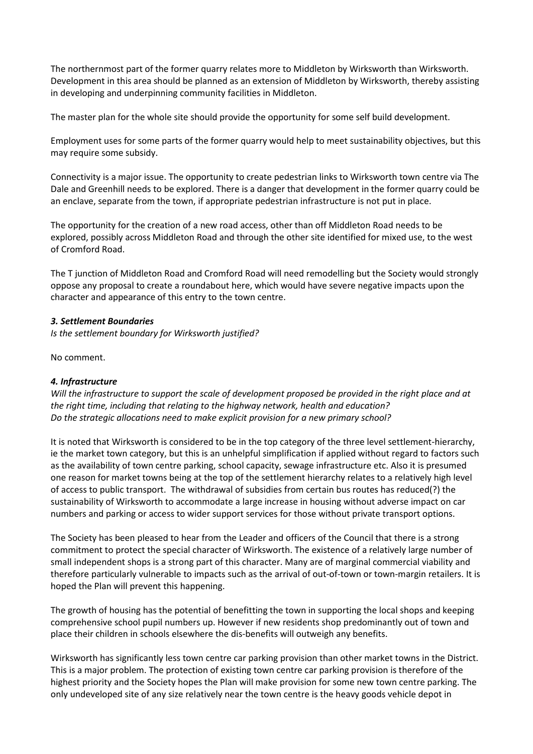The northernmost part of the former quarry relates more to Middleton by Wirksworth than Wirksworth. Development in this area should be planned as an extension of Middleton by Wirksworth, thereby assisting in developing and underpinning community facilities in Middleton.

The master plan for the whole site should provide the opportunity for some self build development.

Employment uses for some parts of the former quarry would help to meet sustainability objectives, but this may require some subsidy.

Connectivity is a major issue. The opportunity to create pedestrian links to Wirksworth town centre via The Dale and Greenhill needs to be explored. There is a danger that development in the former quarry could be an enclave, separate from the town, if appropriate pedestrian infrastructure is not put in place.

The opportunity for the creation of a new road access, other than off Middleton Road needs to be explored, possibly across Middleton Road and through the other site identified for mixed use, to the west of Cromford Road.

The T junction of Middleton Road and Cromford Road will need remodelling but the Society would strongly oppose any proposal to create a roundabout here, which would have severe negative impacts upon the character and appearance of this entry to the town centre.

#### *3. Settlement Boundaries*

*Is the settlement boundary for Wirksworth justified?*

No comment.

#### *4. Infrastructure*

Will the infrastructure to support the scale of development proposed be provided in the right place and at *the right time, including that relating to the highway network, health and education? Do the strategic allocations need to make explicit provision for a new primary school?*

It is noted that Wirksworth is considered to be in the top category of the three level settlement-hierarchy, ie the market town category, but this is an unhelpful simplification if applied without regard to factors such as the availability of town centre parking, school capacity, sewage infrastructure etc. Also it is presumed one reason for market towns being at the top of the settlement hierarchy relates to a relatively high level of access to public transport. The withdrawal of subsidies from certain bus routes has reduced(?) the sustainability of Wirksworth to accommodate a large increase in housing without adverse impact on car numbers and parking or access to wider support services for those without private transport options.

The Society has been pleased to hear from the Leader and officers of the Council that there is a strong commitment to protect the special character of Wirksworth. The existence of a relatively large number of small independent shops is a strong part of this character. Many are of marginal commercial viability and therefore particularly vulnerable to impacts such as the arrival of out-of-town or town-margin retailers. It is hoped the Plan will prevent this happening.

The growth of housing has the potential of benefitting the town in supporting the local shops and keeping comprehensive school pupil numbers up. However if new residents shop predominantly out of town and place their children in schools elsewhere the dis-benefits will outweigh any benefits.

Wirksworth has significantly less town centre car parking provision than other market towns in the District. This is a major problem. The protection of existing town centre car parking provision is therefore of the highest priority and the Society hopes the Plan will make provision for some new town centre parking. The only undeveloped site of any size relatively near the town centre is the heavy goods vehicle depot in